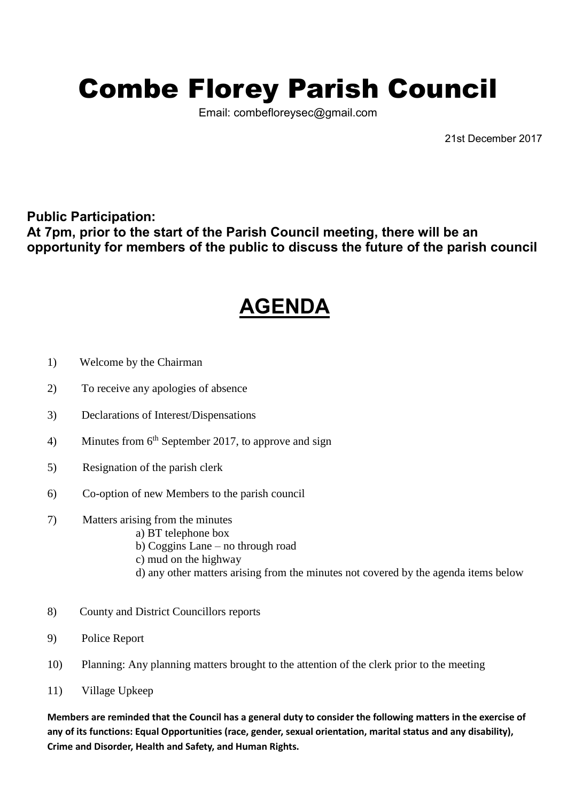## Combe Florey Parish Council

Email: combefloreysec@gmail.com

21st December 2017

## **Public Participation: At 7pm, prior to the start of the Parish Council meeting, there will be an opportunity for members of the public to discuss the future of the parish council**

## **AGENDA**

- 1) Welcome by the Chairman
- 2) To receive any apologies of absence
- 3) Declarations of Interest/Dispensations
- 4) Minutes from  $6<sup>th</sup>$  September 2017, to approve and sign
- 5) Resignation of the parish clerk
- 6) Co-option of new Members to the parish council
- 7) Matters arising from the minutes
	- a) BT telephone box
		- b) Coggins Lane no through road
		- c) mud on the highway
		- d) any other matters arising from the minutes not covered by the agenda items below
- 8) County and District Councillors reports
- 9) Police Report
- 10) Planning: Any planning matters brought to the attention of the clerk prior to the meeting
- 11) Village Upkeep

**Members are reminded that the Council has a general duty to consider the following matters in the exercise of any of its functions: Equal Opportunities (race, gender, sexual orientation, marital status and any disability), Crime and Disorder, Health and Safety, and Human Rights.**